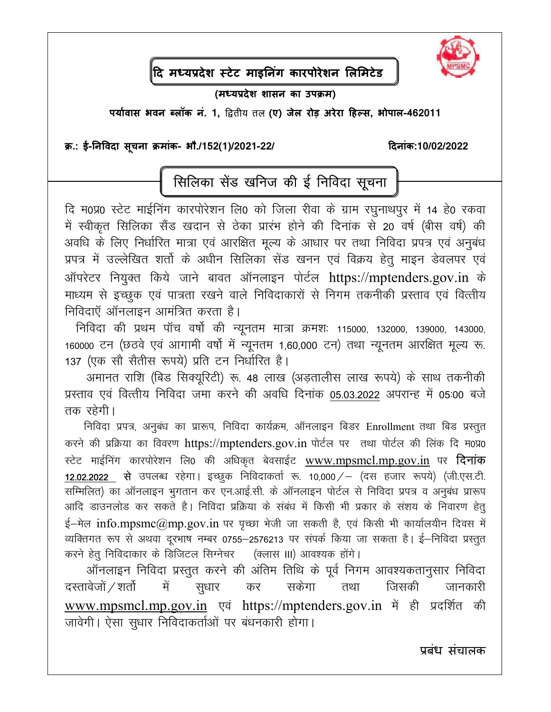

|<br>दि मध्यप्रदेश स्टेट माइनिंग कारपोरेशन लिमिटेड

(मध्यप्रदेश शासन का उपक्रम)

पर्यावास भवन ब्लॉक नं. 1, द्वितीय तल (ए) जेल रोड़ अरेरा हिल्स, भोपाल-462011

## क्र.: ई-निविदा सूचना क्रमांक- भौ./152(1)/2021-22/

दिनांक:10/02/2022

## सिलिका सेंड खनिज की ई निविदा सूचना

दि म0प्र0 स्टेट माईनिंग कारपोरेशन लि0 को जिला रीवा के ग्राम रघुनाथपूर में 14 हे0 रकवा में स्वीकृत सिलिका सैंड खदान से ठेका प्रारंभ होने की दिनांक से 20 वर्ष (बीस वर्ष) की अवधि के लिए निर्धारित मात्रा एवं आरक्षित मूल्य के आधार पर तथा निविदा प्रपत्र एवं अनुबंध प्रपत्र में उल्लेखित शर्तो के अधीन सिलिका सेंड खनन एवं विक्रय हेतू माइन डेवलपर एवं ऑपरेटर नियुक्त किये जाने बावत ऑनलाइन पोर्टल https://mptenders.gov.in के माध्यम से इच्छुक एवं पात्रता रखने वाले निविदाकारों से निगम तकनीकी प्रस्ताव एवं वित्तीय निविदाएँ ऑनलाइन आमंत्रित करता है।

निविदा की प्रथम पॉच वर्षो की न्यूनतम मात्रा क्रमशः 115000, 132000, 139000, 143000, 160000 टन (छठवे एवं आगामी वर्षो में न्यूनतम 1,60,000 टन) तथा न्यूनतम आरक्षित मूल्य रू. 137 (एक सौ सैतीस रूपये) प्रति टन निर्धारित है।

अमानत राशि (बिड सिक्यूरिटी) रू. 48 लाख (अड़तालीस लाख रूपये) के साथ तकनीकी प्रस्ताव एवं वित्तीय निविदा जमा करने की अवधि दिनांक 05.03.2022 अपरान्ह में 05:00 बजे तक रहेगी।

निविदा प्रपत्र, अनुबंध का प्रारूप, निविदा कार्यक्रम, ऑनलाइन बिडर Enrollment तथा बिड प्रस्तुत करने की प्रक्रिया का विवरण https://mptenders.gov.in पोर्टल पर तथा पोर्टल की लिंक दि म0प्र0 स्टेट माईनिंग कारपोरेशन लि0 की अधिकृत बेवसाईट www.mpsmcl.mp.gov.in पर **दिनांक** 12.02.2022 से उपलब्ध रहेगा। इच्छूक निविदाकर्ता रू. 10,000 / – (दस हजार रूपये) (जी.एस.टी. सम्मिलित) का ऑनलाइन भुगतान कर एन.आई.सी. के ऑनलाइन पोर्टल से निविदा प्रपत्र व अनुबंध प्रारूप आदि डाउनलोड कर सकते है। निविदा प्रक्रिया के संबंध में किसी भी प्रकार के संशय के निवारण हेतु  $\xi$ -मेल info.mpsmc@mp.gov.in पर पृच्छा भेजी जा सकती है, एवं किसी भी कार्यालयीन दिवस में व्यक्तिगत रूप से अथवा दुरभाष नम्बर 0755–2576213 पर संपर्क किया जा सकता है। ई–निविदा प्रस्तुत करने हेतु निविदाकार के डिजिटल सिग्नेचर (क्लास III) आवश्यक होंगे।

ऑनलाइन निविदा प्रस्तुत करने की अंतिम तिथि के पूर्व निगम आवश्यकतानुसार निविदा दस्तावेजों / शर्तो सकेगा जिसकी सुधार में कर तथा जानकारी www.mpsmcl.mp.gov.in एवं https://mptenders.gov.in में ही प्रदर्शित की जावेगी। ऐसा सूधार निविदाकर्ताओं पर बंधनकारी होगा।

प्रबंध संचालक